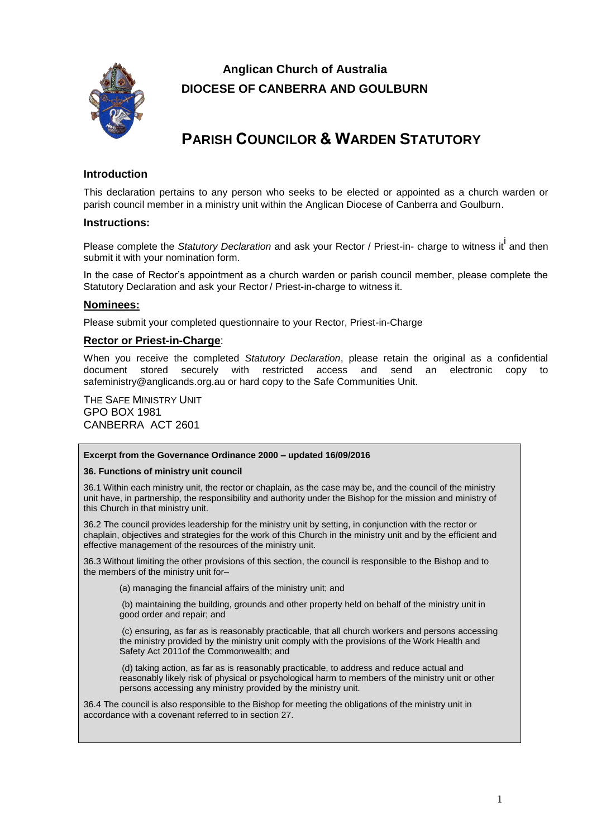

## **Anglican Church of Australia DIOCESE OF CANBERRA AND GOULBURN**

# **PARISH COUNCILOR & WARDEN STATUTORY**

## **Introduction**

This declaration pertains to any person who seeks to be elected or appointed as a church warden or parish council member in a ministry unit within the Anglican Diocese of Canberra and Goulburn.

## **Instructions:**

Please complete the *Statutory Declaration* and ask your Rector / Priest-in- charge to witness it<sup>l</sup> and then submit it with your nomination form.

In the case of Rector's appointment as a church warden or parish council member, please complete the Statutory Declaration and ask your Rector / Priest-in-charge to witness it.

## **Nominees:**

Please submit your completed questionnaire to your Rector, Priest-in-Charge

## **Rector or Priest-in-Charge**:

When you receive the completed *Statutory Declaration*, please retain the original as a confidential document stored securely with restricted access and send an electronic copy to safeministry@anglicands.org.au or hard copy to the Safe Communities Unit.

THE SAFE MINISTRY UNIT GPO BOX 1981 CANBERRA ACT 2601

#### **Excerpt from the Governance Ordinance 2000 – updated 16/09/2016**

#### **36. Functions of ministry unit council**

36.1 Within each ministry unit, the rector or chaplain, as the case may be, and the council of the ministry unit have, in partnership, the responsibility and authority under the Bishop for the mission and ministry of this Church in that ministry unit.

36.2 The council provides leadership for the ministry unit by setting, in conjunction with the rector or chaplain, objectives and strategies for the work of this Church in the ministry unit and by the efficient and effective management of the resources of the ministry unit.

36.3 Without limiting the other provisions of this section, the council is responsible to the Bishop and to the members of the ministry unit for–

(a) managing the financial affairs of the ministry unit; and

(b) maintaining the building, grounds and other property held on behalf of the ministry unit in good order and repair; and

(c) ensuring, as far as is reasonably practicable, that all church workers and persons accessing the ministry provided by the ministry unit comply with the provisions of the Work Health and Safety Act 2011of the Commonwealth; and

(d) taking action, as far as is reasonably practicable, to address and reduce actual and reasonably likely risk of physical or psychological harm to members of the ministry unit or other persons accessing any ministry provided by the ministry unit.

36.4 The council is also responsible to the Bishop for meeting the obligations of the ministry unit in accordance with a covenant referred to in section 27.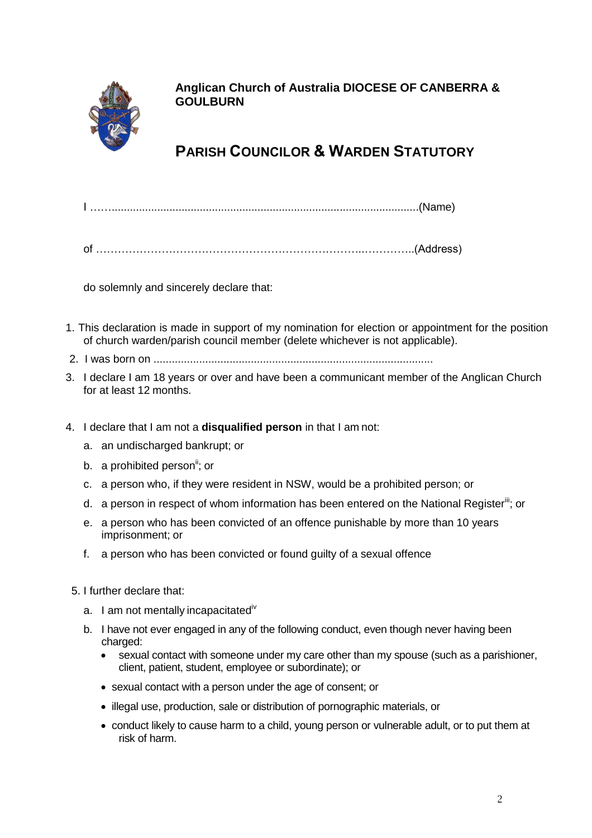

**Anglican Church of Australia DIOCESE OF CANBERRA & GOULBURN**

# **PARISH COUNCILOR & WARDEN STATUTORY**

I …….....................................................................................................(Name)

of ………………………………………………………………..…………..(Address)

do solemnly and sincerely declare that:

- 1. This declaration is made in support of my nomination for election or appointment for the position of church warden/parish council member (delete whichever is not applicable).
- 2. I was born on ............................................................................................
- 3. I declare I am 18 years or over and have been a communicant member of the Anglican Church for at least 12 months.
- 4. I declare that I am not a **disqualified person** in that I am not:
	- a. an undischarged bankrupt; or
	- b. a prohibited person<sup>ii</sup>; or
	- c. a person who, if they were resident in NSW, would be a prohibited person; or
	- d. a person in respect of whom information has been entered on the National Register<sup>iii</sup>; or
	- e. a person who has been convicted of an offence punishable by more than 10 years imprisonment; or
	- f. a person who has been convicted or found guilty of a sexual offence
	- 5. I further declare that:
		- a. I am not mentally incapacitated<sup>iv</sup>
		- b. I have not ever engaged in any of the following conduct, even though never having been charged:
			- sexual contact with someone under my care other than my spouse (such as a parishioner, client, patient, student, employee or subordinate); or
			- sexual contact with a person under the age of consent; or
			- illegal use, production, sale or distribution of pornographic materials, or
			- conduct likely to cause harm to a child, young person or vulnerable adult, or to put them at risk of harm.